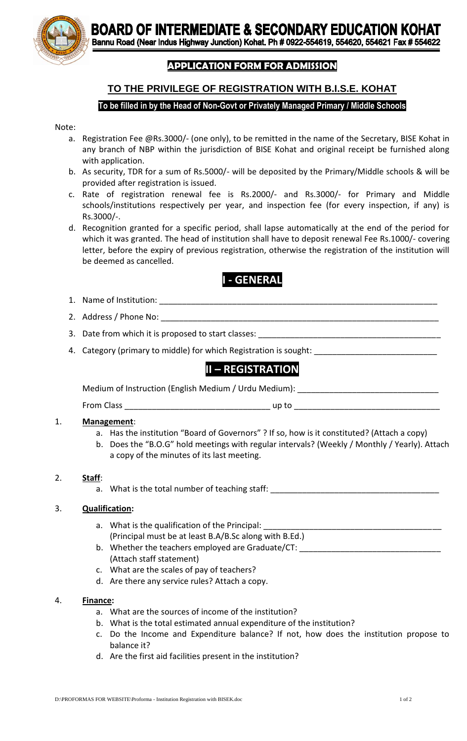**BOARD OF INTERMEDIATE & SECONDARY EDUCATION KOHAT**<br>Bannu Road (Near Indus Highway Junction) Kohat. Ph # 0922-554619, 554620, 554621 Fax # 554622



Ī

## **APPLICATION FORM FOR ADMISSION**

# **TO THE PRIVILEGE OF REGISTRATION WITH B.I.S.E. KOHAT**

## **To be filled in by the Head of Non-Govt or Privately Managed Primary / Middle Schools**

#### Note:

- a. Registration Fee @Rs.3000/- (one only), to be remitted in the name of the Secretary, BISE Kohat in any branch of NBP within the jurisdiction of BISE Kohat and original receipt be furnished along with application.
- b. As security, TDR for a sum of Rs.5000/- will be deposited by the Primary/Middle schools & will be provided after registration is issued.
- c. Rate of registration renewal fee is Rs.2000/- and Rs.3000/- for Primary and Middle schools/institutions respectively per year, and inspection fee (for every inspection, if any) is Rs.3000/-.
- d. Recognition granted for a specific period, shall lapse automatically at the end of the period for which it was granted. The head of institution shall have to deposit renewal Fee Rs.1000/- covering letter, before the expiry of previous registration, otherwise the registration of the institution will be deemed as cancelled.

# **I - GENERAL**

- 1. Name of Institution: \_\_\_\_\_\_\_\_\_\_\_\_\_\_\_\_\_\_\_\_\_\_\_\_\_\_\_\_\_\_\_\_\_\_\_\_\_\_\_\_\_\_\_\_\_\_\_\_\_\_\_\_\_\_\_\_\_\_\_\_\_
- 2. Address / Phone No: \_\_\_\_\_\_\_\_\_\_\_\_\_\_\_\_\_\_\_\_\_\_\_\_\_\_\_\_\_\_\_\_\_\_\_\_\_\_\_\_\_\_\_\_\_\_\_\_\_\_\_\_\_\_\_\_\_\_\_\_\_
- 3. Date from which it is proposed to start classes:
- 4. Category (primary to middle) for which Registration is sought: \_

# **II – REGISTRATION**

Medium of Instruction (English Medium / Urdu Medium): \_\_\_\_\_\_\_\_\_\_\_\_\_\_\_\_\_\_\_\_\_\_\_\_\_\_

From Class \_\_\_\_\_\_\_\_\_\_\_\_\_\_\_\_\_\_\_\_\_\_\_\_\_\_\_\_\_\_\_\_ up to \_\_\_\_\_\_\_\_\_\_\_\_\_\_\_\_\_\_\_\_\_\_\_\_\_\_\_\_\_\_\_\_

### 1. **Management**:

- a. Has the institution "Board of Governors" ? If so, how is it constituted? (Attach a copy)
- b. Does the "B.O.G" hold meetings with regular intervals? (Weekly / Monthly / Yearly). Attach a copy of the minutes of its last meeting.

### 2. **Staff**:

a. What is the total number of teaching staff:

### 3. **Qualification:**

- a. What is the qualification of the Principal: (Principal must be at least B.A/B.Sc along with B.Ed.)
- b. Whether the teachers employed are Graduate/CT: \_\_\_\_\_\_\_\_\_\_\_\_\_\_\_\_\_\_\_\_\_\_\_\_\_\_\_\_\_\_ (Attach staff statement)
- c. What are the scales of pay of teachers?
- d. Are there any service rules? Attach a copy.

### 4. **Finance:**

- a. What are the sources of income of the institution?
- b. What is the total estimated annual expenditure of the institution?
- c. Do the Income and Expenditure balance? If not, how does the institution propose to balance it?
- d. Are the first aid facilities present in the institution?